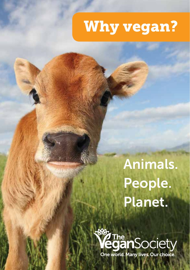# Why vegan?

# Animals. People. Planet.